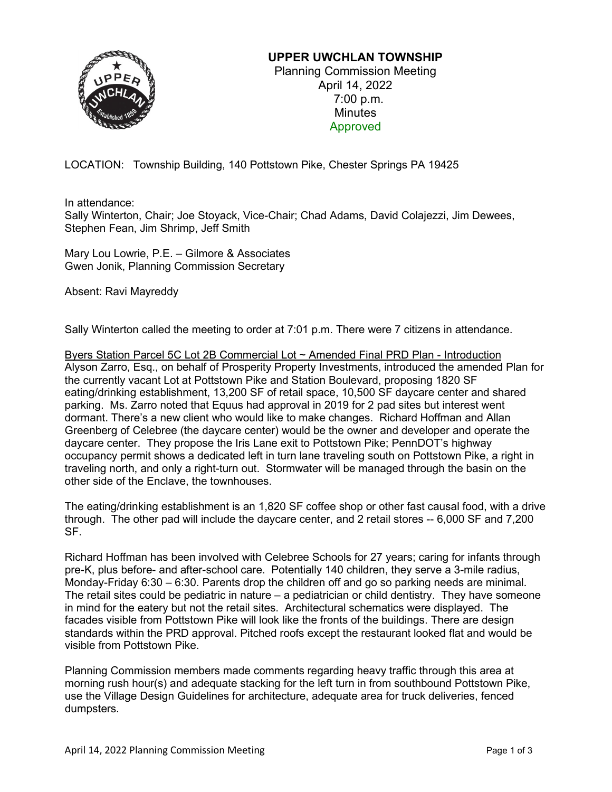

## **UPPER UWCHLAN TOWNSHIP**

Planning Commission Meeting April 14, 2022 7:00 p.m. **Minutes** Approved

LOCATION: Township Building, 140 Pottstown Pike, Chester Springs PA 19425

In attendance:

Sally Winterton, Chair; Joe Stoyack, Vice-Chair; Chad Adams, David Colajezzi, Jim Dewees, Stephen Fean, Jim Shrimp, Jeff Smith

Mary Lou Lowrie, P.E. – Gilmore & Associates Gwen Jonik, Planning Commission Secretary

Absent: Ravi Mayreddy

Sally Winterton called the meeting to order at 7:01 p.m. There were 7 citizens in attendance.

Byers Station Parcel 5C Lot 2B Commercial Lot ~ Amended Final PRD Plan - Introduction Alyson Zarro, Esq., on behalf of Prosperity Property Investments, introduced the amended Plan for the currently vacant Lot at Pottstown Pike and Station Boulevard, proposing 1820 SF eating/drinking establishment, 13,200 SF of retail space, 10,500 SF daycare center and shared parking. Ms. Zarro noted that Equus had approval in 2019 for 2 pad sites but interest went dormant. There's a new client who would like to make changes. Richard Hoffman and Allan Greenberg of Celebree (the daycare center) would be the owner and developer and operate the daycare center. They propose the Iris Lane exit to Pottstown Pike; PennDOT's highway occupancy permit shows a dedicated left in turn lane traveling south on Pottstown Pike, a right in traveling north, and only a right-turn out. Stormwater will be managed through the basin on the other side of the Enclave, the townhouses.

The eating/drinking establishment is an 1,820 SF coffee shop or other fast causal food, with a drive through. The other pad will include the daycare center, and 2 retail stores -- 6,000 SF and 7,200 SF.

Richard Hoffman has been involved with Celebree Schools for 27 years; caring for infants through pre-K, plus before- and after-school care. Potentially 140 children, they serve a 3-mile radius, Monday-Friday 6:30 – 6:30. Parents drop the children off and go so parking needs are minimal. The retail sites could be pediatric in nature – a pediatrician or child dentistry. They have someone in mind for the eatery but not the retail sites. Architectural schematics were displayed. The facades visible from Pottstown Pike will look like the fronts of the buildings. There are design standards within the PRD approval. Pitched roofs except the restaurant looked flat and would be visible from Pottstown Pike.

Planning Commission members made comments regarding heavy traffic through this area at morning rush hour(s) and adequate stacking for the left turn in from southbound Pottstown Pike, use the Village Design Guidelines for architecture, adequate area for truck deliveries, fenced dumpsters.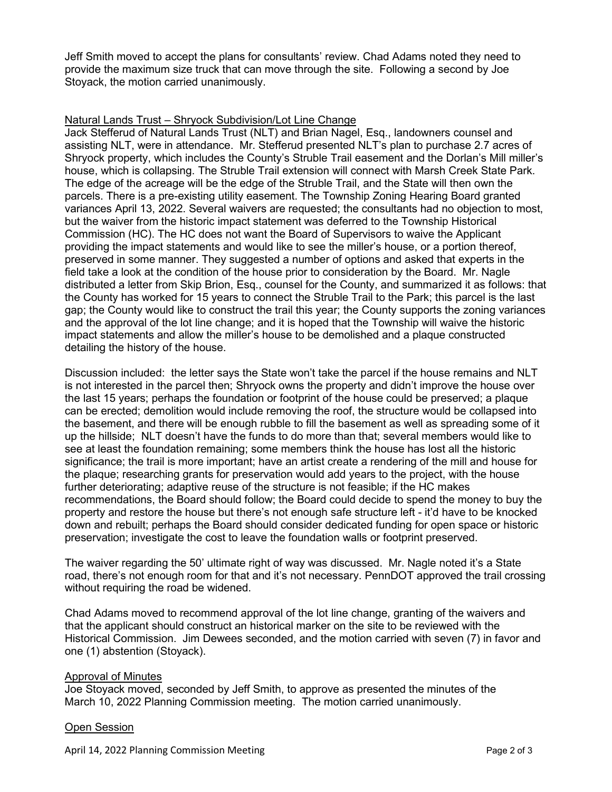Jeff Smith moved to accept the plans for consultants' review. Chad Adams noted they need to provide the maximum size truck that can move through the site. Following a second by Joe Stoyack, the motion carried unanimously.

## Natural Lands Trust – Shryock Subdivision/Lot Line Change

Jack Stefferud of Natural Lands Trust (NLT) and Brian Nagel, Esq., landowners counsel and assisting NLT, were in attendance. Mr. Stefferud presented NLT's plan to purchase 2.7 acres of Shryock property, which includes the County's Struble Trail easement and the Dorlan's Mill miller's house, which is collapsing. The Struble Trail extension will connect with Marsh Creek State Park. The edge of the acreage will be the edge of the Struble Trail, and the State will then own the parcels. There is a pre-existing utility easement. The Township Zoning Hearing Board granted variances April 13, 2022. Several waivers are requested; the consultants had no objection to most, but the waiver from the historic impact statement was deferred to the Township Historical Commission (HC). The HC does not want the Board of Supervisors to waive the Applicant providing the impact statements and would like to see the miller's house, or a portion thereof, preserved in some manner. They suggested a number of options and asked that experts in the field take a look at the condition of the house prior to consideration by the Board. Mr. Nagle distributed a letter from Skip Brion, Esq., counsel for the County, and summarized it as follows: that the County has worked for 15 years to connect the Struble Trail to the Park; this parcel is the last gap; the County would like to construct the trail this year; the County supports the zoning variances and the approval of the lot line change; and it is hoped that the Township will waive the historic impact statements and allow the miller's house to be demolished and a plaque constructed detailing the history of the house.

Discussion included: the letter says the State won't take the parcel if the house remains and NLT is not interested in the parcel then; Shryock owns the property and didn't improve the house over the last 15 years; perhaps the foundation or footprint of the house could be preserved; a plaque can be erected; demolition would include removing the roof, the structure would be collapsed into the basement, and there will be enough rubble to fill the basement as well as spreading some of it up the hillside; NLT doesn't have the funds to do more than that; several members would like to see at least the foundation remaining; some members think the house has lost all the historic significance; the trail is more important; have an artist create a rendering of the mill and house for the plaque; researching grants for preservation would add years to the project, with the house further deteriorating; adaptive reuse of the structure is not feasible; if the HC makes recommendations, the Board should follow; the Board could decide to spend the money to buy the property and restore the house but there's not enough safe structure left - it'd have to be knocked down and rebuilt; perhaps the Board should consider dedicated funding for open space or historic preservation; investigate the cost to leave the foundation walls or footprint preserved.

The waiver regarding the 50' ultimate right of way was discussed. Mr. Nagle noted it's a State road, there's not enough room for that and it's not necessary. PennDOT approved the trail crossing without requiring the road be widened.

Chad Adams moved to recommend approval of the lot line change, granting of the waivers and that the applicant should construct an historical marker on the site to be reviewed with the Historical Commission. Jim Dewees seconded, and the motion carried with seven (7) in favor and one (1) abstention (Stoyack).

## Approval of Minutes

Joe Stoyack moved, seconded by Jeff Smith, to approve as presented the minutes of the March 10, 2022 Planning Commission meeting. The motion carried unanimously.

## Open Session